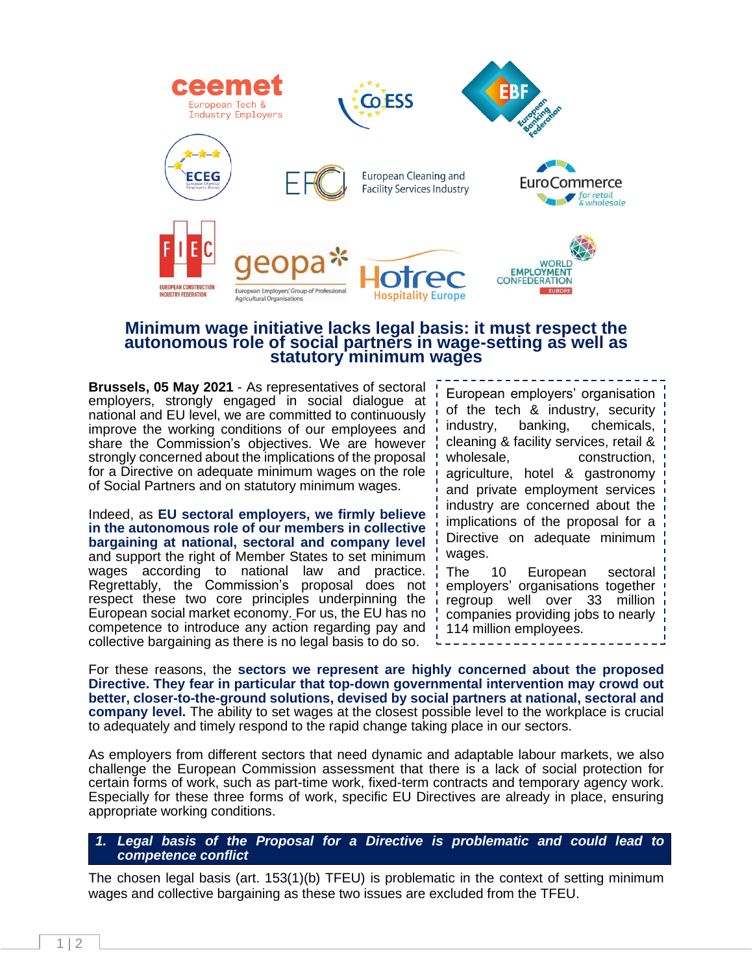

### **Minimum wage initiative lacks legal basis: it must respect the autonomous role of social partners in wage-setting as well as statutory minimum wages**

**Brussels, 05 May 2021** - As representatives of sectoral employers, strongly engaged in social dialogue at national and EU level, we are committed to continuously improve the working conditions of our employees and share the Commission's objectives. We are however strongly concerned about the implications of the proposal for a Directive on adequate minimum wages on the role of Social Partners and on statutory minimum wages.

Indeed, as **EU sectoral employers, we firmly believe in the autonomous role of our members in collective bargaining at national, sectoral and company level** and support the right of Member States to set minimum wages according to national law and practice. Regrettably, the Commission's proposal does not respect these two core principles underpinning the European social market economy. For us, the EU has no competence to introduce any action regarding pay and collective bargaining as there is no legal basis to do so.

European employers' organisation of the tech & industry, security industry, banking, chemicals, cleaning & facility services, retail & wholesale, construction, agriculture, hotel & gastronomy and private employment services industry are concerned about the implications of the proposal for a Directive on adequate minimum wages. The 10 European sectoral

employers' organisations together regroup well over 33 million companies providing jobs to nearly 114 million employees.

For these reasons, the **sectors we represent are highly concerned about the proposed Directive. They fear in particular that top-down governmental intervention may crowd out better, closer-to-the-ground solutions, devised by social partners at national, sectoral and company level.** The ability to set wages at the closest possible level to the workplace is crucial to adequately and timely respond to the rapid change taking place in our sectors.

As employers from different sectors that need dynamic and adaptable labour markets, we also challenge the European Commission assessment that there is a lack of social protection for certain forms of work, such as part-time work, fixed-term contracts and temporary agency work. Especially for these three forms of work, specific EU Directives are already in place, ensuring appropriate working conditions.

#### *1. Legal basis of the Proposal for a Directive is problematic and could lead to competence conflict*

The chosen legal basis (art. 153(1)(b) TFEU) is problematic in the context of setting minimum wages and collective bargaining as these two issues are excluded from the TFEU.